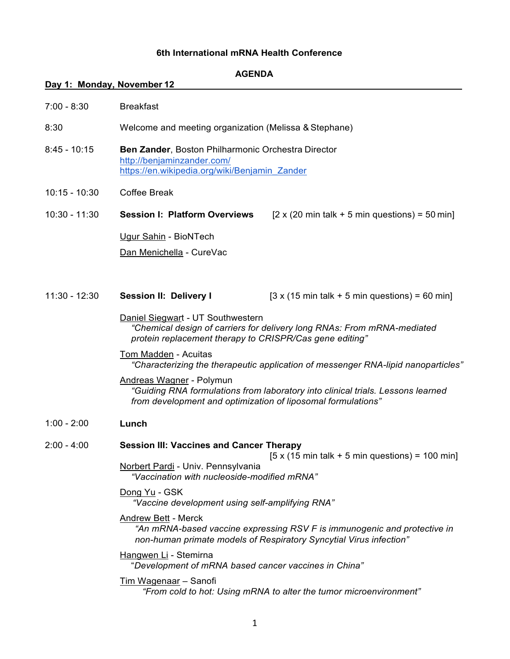## **AGENDA**

## **Day 1: Monday, November 12**

| $7:00 - 8:30$ | <b>Breakfast</b> |
|---------------|------------------|
|               |                  |

- 8:30 Welcome and meeting organization (Melissa & Stephane)
- 8:45 10:15 **Ben Zander**, Boston Philharmonic Orchestra Director <http://benjaminzander.com/> https://en.wikipedia.org/wiki/Benjamin\_Zander
- 10:15 10:30 Coffee Break

10:30 - 11:30 **Session I: Platform Overviews** [2 x (20 min talk + 5 min questions) = 50 min] Ugur Sahin - BioNTech

Dan Menichella - CureVac

11:30 - 12:30 **Session II: Delivery I** [3 x (15 min talk + 5 min questions) = 60 min]

Daniel Siegwart - UT Southwestern *"Chemical design of carriers for delivery long RNAs: From mRNA-mediated protein replacement therapy to CRISPR/Cas gene editing"*

### Tom Madden - Acuitas *"Characterizing the therapeutic application of messenger RNA-lipid nanoparticles"*

Andreas Wagner - Polymun *"Guiding RNA formulations from laboratory into clinical trials. Lessons learned from development and optimization of liposomal formulations"*

1:00 - 2:00 **Lunch**

#### 2:00 - 4:00 **Session III: Vaccines and Cancer Therapy**

 $[5 x (15 min talk + 5 min questions) = 100 min]$ 

Norbert Pardi - Univ. Pennsylvania *"Vaccination with nucleoside-modified mRNA"*

## Dong Yu - GSK

*"Vaccine development using self-amplifying RNA"*

## Andrew Bett - Merck

*"An mRNA-based vaccine expressing RSV F is immunogenic and protective in non-human primate models of Respiratory Syncytial Virus infection"*

## Hangwen Li - Stemirna

"*Development of mRNA based cancer vaccines in China"*

### Tim Wagenaar – Sanofi

*"From cold to hot: Using mRNA to alter the tumor microenvironment"*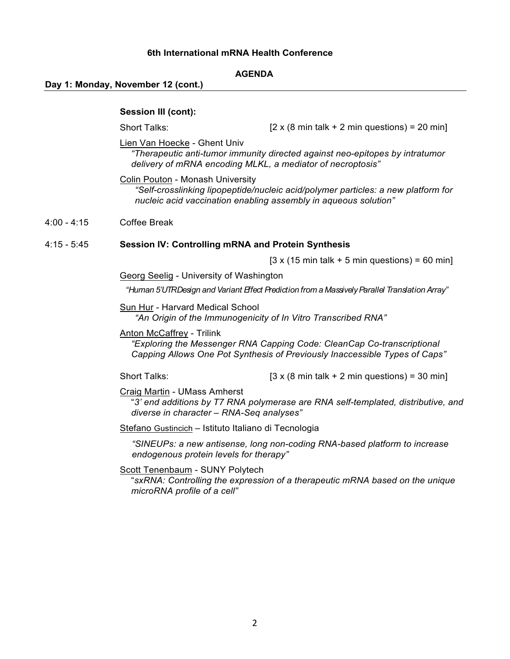## **AGENDA**

## **Day 1: Monday, November 12 (cont.)**

### **Session III (cont):**

Short Talks:

 $[2 \times (8 \text{ min talk} + 2 \text{ min questions}) = 20 \text{ min}]$ 

Lien Van Hoecke - Ghent Univ

*"Therapeutic anti-tumor immunity directed against neo-epitopes by intratumor delivery of mRNA encoding MLKL, a mediator of necroptosis"*

Colin Pouton - Monash University *"Self-crosslinking lipopeptide/nucleic acid/polymer particles: a new platform for nucleic acid vaccination enabling assembly in aqueous solution"*

#### $4:00 - 4:15$ Coffee Break

#### 4:15 - 5:45 **Session IV: Controlling mRNA and Protein Synthesis**

 $[3 \times (15 \text{ min talk} + 5 \text{ min questions}) = 60 \text{ min}]$ 

Georg Seelig - University of Washington

*"Human 5'UTR Design and Variant Effect Prediction from a Massively Parallel Translation Array"* 

Sun Hur - Harvard Medical School *"An Origin of the Immunogenicity of In Vitro Transcribed RNA"*

Anton McCaffrey - Trilink

*"Exploring the Messenger RNA Capping Code: CleanCap Co-transcriptional Capping Allows One Pot Synthesis of Previously Inaccessible Types of Caps"*

Short Talks:  $[3 \times (8 \text{ min talk} + 2 \text{ min questions}) = 30 \text{ min}]$ 

Craig Martin - UMass Amherst

"*3' end additions by T7 RNA polymerase are RNA self-templated, distributive, and diverse in character – RNA-Seq analyses"*

Stefano Gustincich – Istituto Italiano di Tecnologia

*"SINEUPs: a new antisense, long non-coding RNA-based platform to increase endogenous protein levels for therapy"*

Scott Tenenbaum - SUNY Polytech

"*sxRNA: Controlling the expression of a therapeutic mRNA based on the unique microRNA profile of a cell"*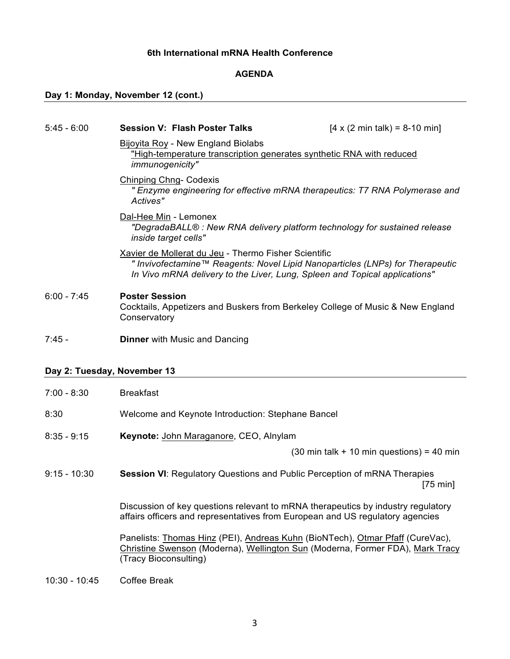## **AGENDA**

# **Day 1: Monday, November 12 (cont.)**

| $5:45 - 6:00$               | <b>Session V: Flash Poster Talks</b>                                                                                                                                                                                | $[4 \times (2 \text{ min talk}) = 8-10 \text{ min}]$                |
|-----------------------------|---------------------------------------------------------------------------------------------------------------------------------------------------------------------------------------------------------------------|---------------------------------------------------------------------|
|                             | <b>Bijoyita Roy - New England Biolabs</b><br>"High-temperature transcription generates synthetic RNA with reduced<br>immunogenicity"                                                                                |                                                                     |
|                             | <b>Chinping Chng- Codexis</b><br>" Enzyme engineering for effective mRNA therapeutics: T7 RNA Polymerase and<br>Actives"                                                                                            |                                                                     |
|                             | Dal-Hee Min - Lemonex<br>"DegradaBALL® : New RNA delivery platform technology for sustained release<br>inside target cells"                                                                                         |                                                                     |
|                             | Xavier de Mollerat du Jeu - Thermo Fisher Scientific<br>" Invivofectamine™ Reagents: Novel Lipid Nanoparticles (LNPs) for Therapeutic<br>In Vivo mRNA delivery to the Liver, Lung, Spleen and Topical applications" |                                                                     |
| $6:00 - 7:45$               | <b>Poster Session</b><br>Cocktails, Appetizers and Buskers from Berkeley College of Music & New England<br>Conservatory                                                                                             |                                                                     |
| $7:45 -$                    | <b>Dinner</b> with Music and Dancing                                                                                                                                                                                |                                                                     |
| Day 2: Tuesday, November 13 |                                                                                                                                                                                                                     |                                                                     |
| $7:00 - 8:30$               | <b>Breakfast</b>                                                                                                                                                                                                    |                                                                     |
| 8:30                        | Welcome and Keynote Introduction: Stephane Bancel                                                                                                                                                                   |                                                                     |
| $8:35 - 9:15$               | Keynote: John Maraganore, CEO, Alnylam                                                                                                                                                                              |                                                                     |
|                             |                                                                                                                                                                                                                     | $(30 \text{ min talk} + 10 \text{ min questions}) = 40 \text{ min}$ |
| $9:15 - 10:30$              | Session VI: Regulatory Questions and Public Perception of mRNA Therapies                                                                                                                                            | $[75 \text{ min}]$                                                  |
|                             | Discussion of key questions relevant to mRNA therapeutics by industry regulatory<br>affairs officers and representatives from European and US regulatory agencies                                                   |                                                                     |
|                             | Panelists: Thomas Hinz (PEI), Andreas Kuhn (BioNTech), Otmar Pfaff (CureVac),<br>Christine Swenson (Moderna), Wellington Sun (Moderna, Former FDA), Mark Tracy<br>(Tracy Bioconsulting)                             |                                                                     |
| $10:30 - 10:45$             | <b>Coffee Break</b>                                                                                                                                                                                                 |                                                                     |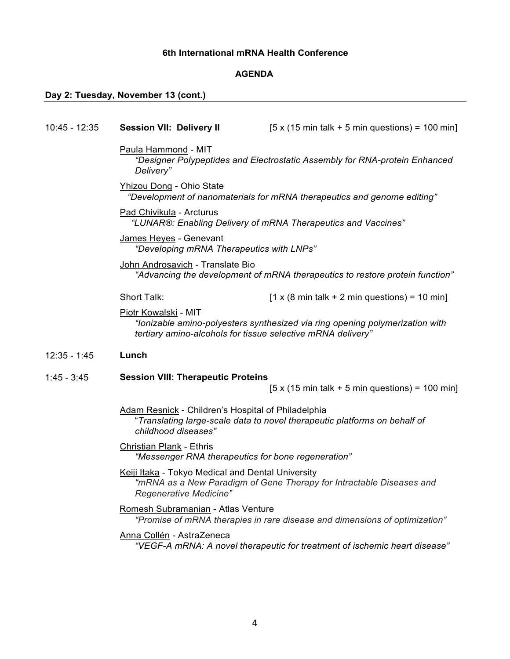## **AGENDA**

# **Day 2: Tuesday, November 13 (cont.)**

| $10:45 - 12:35$ | <b>Session VII: Delivery II</b>                                                                                | $[5 \times (15 \text{ min talk} + 5 \text{ min questions}) = 100 \text{ min}]$ |
|-----------------|----------------------------------------------------------------------------------------------------------------|--------------------------------------------------------------------------------|
|                 | Paula Hammond - MIT<br>"Designer Polypeptides and Electrostatic Assembly for RNA-protein Enhanced<br>Delivery" |                                                                                |
|                 | Yhizou Dong - Ohio State                                                                                       | "Development of nanomaterials for mRNA therapeutics and genome editing"        |
|                 | Pad Chivikula - Arcturus                                                                                       | "LUNAR®: Enabling Delivery of mRNA Therapeutics and Vaccines"                  |
|                 | James Heyes - Genevant<br>"Developing mRNA Therapeutics with LNPs"                                             |                                                                                |
|                 | John Androsavich - Translate Bio                                                                               | "Advancing the development of mRNA therapeutics to restore protein function"   |
|                 | <b>Short Talk:</b>                                                                                             | $[1 \times (8 \text{ min talk} + 2 \text{ min questions}) = 10 \text{ min}]$   |
|                 | Piotr Kowalski - MIT<br>tertiary amino-alcohols for tissue selective mRNA delivery"                            | "lonizable amino-polyesters synthesized via ring opening polymerization with   |
| $12:35 - 1:45$  | Lunch                                                                                                          |                                                                                |
|                 |                                                                                                                |                                                                                |
| $1:45 - 3:45$   | <b>Session VIII: Therapeutic Proteins</b>                                                                      |                                                                                |
|                 |                                                                                                                | $[5 \times (15 \text{ min talk} + 5 \text{ min questions}) = 100 \text{ min}]$ |
|                 | <b>Adam Resnick - Children's Hospital of Philadelphia</b><br>childhood diseases"                               | "Translating large-scale data to novel therapeutic platforms on behalf of      |
|                 | <b>Christian Plank - Ethris</b><br>"Messenger RNA therapeutics for bone regeneration"                          |                                                                                |
|                 | Keiji Itaka - Tokyo Medical and Dental University<br>Regenerative Medicine"                                    | "mRNA as a New Paradigm of Gene Therapy for Intractable Diseases and           |
|                 | <b>Romesh Subramanian - Atlas Venture</b>                                                                      | "Promise of mRNA therapies in rare disease and dimensions of optimization"     |
|                 | Anna Collén - AstraZeneca                                                                                      | "VEGF-A mRNA: A novel therapeutic for treatment of ischemic heart disease"     |